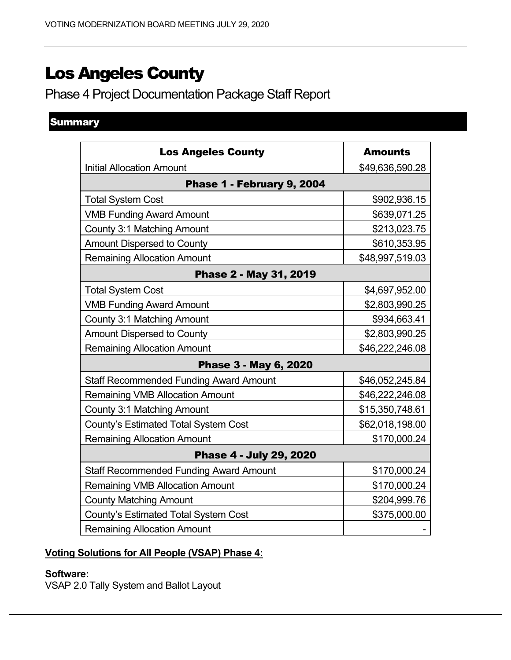# Los Angeles County

Phase 4 Project Documentation Package Staff Report

# **Summary**

| <b>Los Angeles County</b>                     | <b>Amounts</b>  |
|-----------------------------------------------|-----------------|
| <b>Initial Allocation Amount</b>              | \$49,636,590.28 |
| Phase 1 - February 9, 2004                    |                 |
| <b>Total System Cost</b>                      | \$902,936.15    |
| <b>VMB Funding Award Amount</b>               | \$639,071.25    |
| <b>County 3:1 Matching Amount</b>             | \$213,023.75    |
| <b>Amount Dispersed to County</b>             | \$610,353.95    |
| <b>Remaining Allocation Amount</b>            | \$48,997,519.03 |
| Phase 2 - May 31, 2019                        |                 |
| <b>Total System Cost</b>                      | \$4,697,952.00  |
| <b>VMB Funding Award Amount</b>               | \$2,803,990.25  |
| <b>County 3:1 Matching Amount</b>             | \$934,663.41    |
| <b>Amount Dispersed to County</b>             | \$2,803,990.25  |
| <b>Remaining Allocation Amount</b>            | \$46,222,246.08 |
| Phase 3 - May 6, 2020                         |                 |
| <b>Staff Recommended Funding Award Amount</b> | \$46,052,245.84 |
| <b>Remaining VMB Allocation Amount</b>        | \$46,222,246.08 |
| <b>County 3:1 Matching Amount</b>             | \$15,350,748.61 |
| County's Estimated Total System Cost          | \$62,018,198.00 |
| <b>Remaining Allocation Amount</b>            | \$170,000.24    |
| Phase 4 - July 29, 2020                       |                 |
| <b>Staff Recommended Funding Award Amount</b> | \$170,000.24    |
| <b>Remaining VMB Allocation Amount</b>        | \$170,000.24    |
| <b>County Matching Amount</b>                 | \$204,999.76    |
| County's Estimated Total System Cost          | \$375,000.00    |
| <b>Remaining Allocation Amount</b>            |                 |

# **Voting Solutions for All People (VSAP) Phase 4:**

#### **Software:**

VSAP 2.0 Tally System and Ballot Layout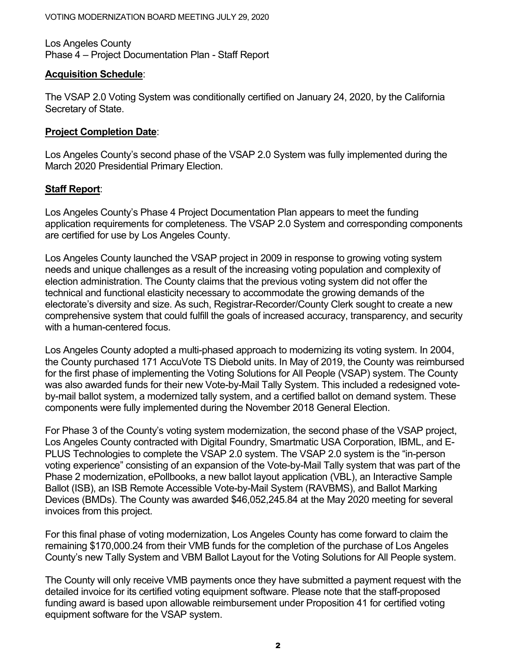Los Angeles County Phase 4 – Project Documentation Plan - Staff Report

#### **Acquisition Schedule**:

The VSAP 2.0 Voting System was conditionally certified on January 24, 2020, by the California Secretary of State.

### **Project Completion Date**:

Los Angeles County's second phase of the VSAP 2.0 System was fully implemented during the March 2020 Presidential Primary Election.

## **Staff Report**:

Los Angeles County's Phase 4 Project Documentation Plan appears to meet the funding application requirements for completeness. The VSAP 2.0 System and corresponding components are certified for use by Los Angeles County.

Los Angeles County launched the VSAP project in 2009 in response to growing voting system needs and unique challenges as a result of the increasing voting population and complexity of election administration. The County claims that the previous voting system did not offer the technical and functional elasticity necessary to accommodate the growing demands of the electorate's diversity and size. As such, Registrar-Recorder/County Clerk sought to create a new comprehensive system that could fulfill the goals of increased accuracy, transparency, and security with a human-centered focus.

Los Angeles County adopted a multi-phased approach to modernizing its voting system. In 2004, the County purchased 171 AccuVote TS Diebold units. In May of 2019, the County was reimbursed for the first phase of implementing the Voting Solutions for All People (VSAP) system. The County was also awarded funds for their new Vote-by-Mail Tally System. This included a redesigned voteby-mail ballot system, a modernized tally system, and a certified ballot on demand system. These components were fully implemented during the November 2018 General Election.

For Phase 3 of the County's voting system modernization, the second phase of the VSAP project, Los Angeles County contracted with Digital Foundry, Smartmatic USA Corporation, IBML, and E-PLUS Technologies to complete the VSAP 2.0 system. The VSAP 2.0 system is the "in-person voting experience" consisting of an expansion of the Vote-by-Mail Tally system that was part of the Phase 2 modernization, ePollbooks, a new ballot layout application (VBL), an Interactive Sample Ballot (ISB), an ISB Remote Accessible Vote-by-Mail System (RAVBMS), and Ballot Marking Devices (BMDs). The County was awarded \$46,052,245.84 at the May 2020 meeting for several invoices from this project.

For this final phase of voting modernization, Los Angeles County has come forward to claim the remaining \$170,000.24 from their VMB funds for the completion of the purchase of Los Angeles County's new Tally System and VBM Ballot Layout for the Voting Solutions for All People system.

The County will only receive VMB payments once they have submitted a payment request with the detailed invoice for its certified voting equipment software. Please note that the staff-proposed funding award is based upon allowable reimbursement under Proposition 41 for certified voting equipment software for the VSAP system.